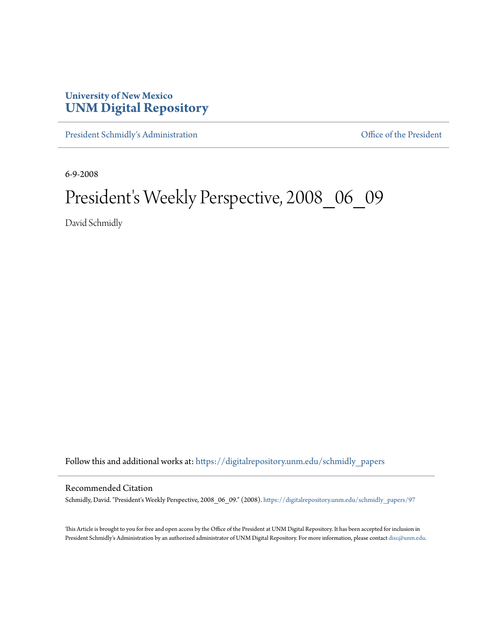## **University of New Mexico [UNM Digital Repository](https://digitalrepository.unm.edu?utm_source=digitalrepository.unm.edu%2Fschmidly_papers%2F97&utm_medium=PDF&utm_campaign=PDFCoverPages)**

[President Schmidly's Administration](https://digitalrepository.unm.edu/schmidly_papers?utm_source=digitalrepository.unm.edu%2Fschmidly_papers%2F97&utm_medium=PDF&utm_campaign=PDFCoverPages) [Office of the President](https://digitalrepository.unm.edu/ofc_president?utm_source=digitalrepository.unm.edu%2Fschmidly_papers%2F97&utm_medium=PDF&utm_campaign=PDFCoverPages)

6-9-2008

## President's Weekly Perspective, 2008\_06\_09

David Schmidly

Follow this and additional works at: [https://digitalrepository.unm.edu/schmidly\\_papers](https://digitalrepository.unm.edu/schmidly_papers?utm_source=digitalrepository.unm.edu%2Fschmidly_papers%2F97&utm_medium=PDF&utm_campaign=PDFCoverPages)

## Recommended Citation

Schmidly, David. "President's Weekly Perspective, 2008\_06\_09." (2008). [https://digitalrepository.unm.edu/schmidly\\_papers/97](https://digitalrepository.unm.edu/schmidly_papers/97?utm_source=digitalrepository.unm.edu%2Fschmidly_papers%2F97&utm_medium=PDF&utm_campaign=PDFCoverPages)

This Article is brought to you for free and open access by the Office of the President at UNM Digital Repository. It has been accepted for inclusion in President Schmidly's Administration by an authorized administrator of UNM Digital Repository. For more information, please contact [disc@unm.edu](mailto:disc@unm.edu).